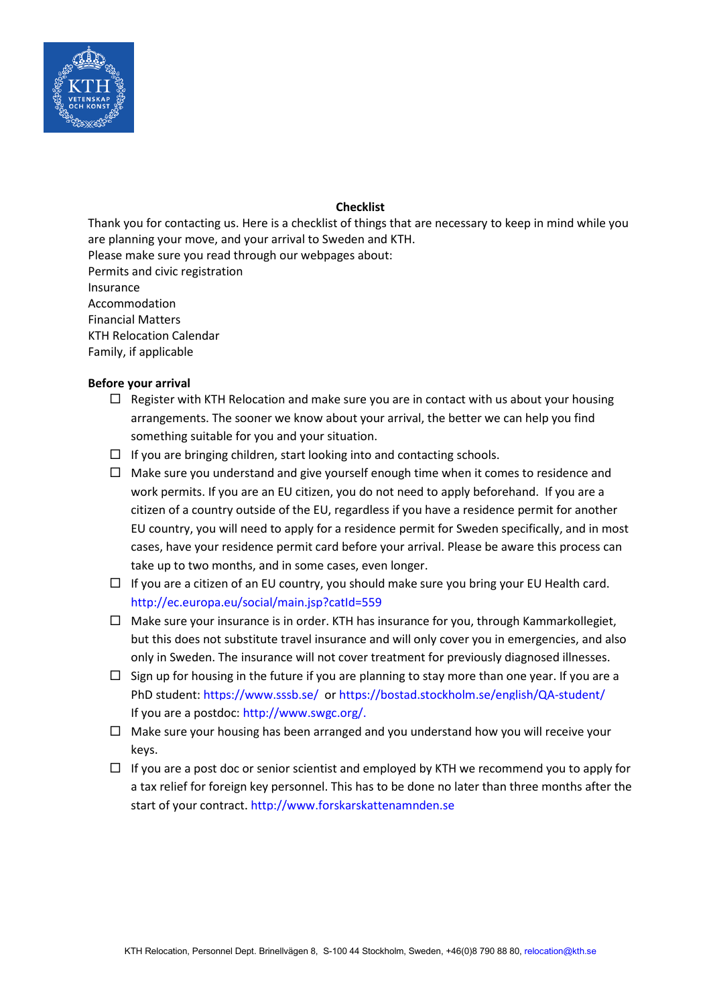

# **Checklist**

Thank you for contacting us. Here is a checklist of things that are necessary to keep in mind while you are planning your move, and your arrival to Sweden and KTH. Please make sure you read through our webpages about: Permits and civic registration Insurance Accommodation Financial Matters KTH Relocation Calendar Family, if applicable

## **Before your arrival**

- $\Box$  Register with KTH Relocation and make sure you are in contact with us about your housing arrangements. The sooner we know about your arrival, the better we can help you find something suitable for you and your situation.
- $\Box$  If you are bringing children, start looking into and contacting schools.
- $\Box$  Make sure you understand and give yourself enough time when it comes to residence and work permits. If you are an EU citizen, you do not need to apply beforehand. If you are a citizen of a country outside of the EU, regardless if you have a residence permit for another EU country, you will need to apply for a residence permit for Sweden specifically, and in most cases, have your residence permit card before your arrival. Please be aware this process can take up to two months, and in some cases, even longer.
- $\Box$  If you are a citizen of an EU country, you should make sure you bring your EU Health card. <http://ec.europa.eu/social/main.jsp?catId=559>
- $\Box$  Make sure your insurance is in order. KTH has insurance for you, through Kammarkollegiet, but this does not substitute travel insurance and will only cover you in emergencies, and also only in Sweden. The insurance will not cover treatment for previously diagnosed illnesses.
- $\Box$  Sign up for housing in the future if you are planning to stay more than one year. If you are a PhD student:<https://www.sssb.se/> or<https://bostad.stockholm.se/english/QA-student/> If you are a postdoc: [http://www.swgc.org/.](http://www.swgc.org/)
- $\Box$  Make sure your housing has been arranged and you understand how you will receive your keys.
- $\Box$  If you are a post doc or senior scientist and employed by KTH we recommend you to apply for a tax relief for foreign key personnel. This has to be done no later than three months after the start of your contract. http:/[/www.forskarskattenamnden.se](http://www.forskarskattenamnden.se/)